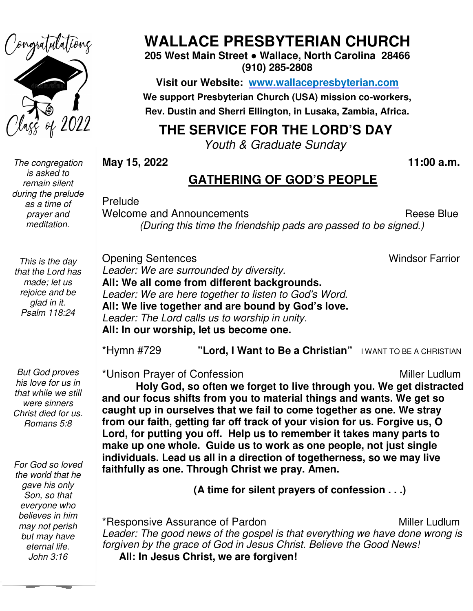

*The congregation is asked to remain silent during the prelude as a time of prayer and meditation.* 

**WALLACE PRESBYTERIAN CHURCH**

**205 West Main Street Street ● Wallace, North Carolina 28466 (910) 285-2808** 

**Visit our Website: www.wallacepresbyterian.com We support Presbyterian Church (USA) mission co co-workers, Rev. Dustin and Sherri Ellington, in Lusaka, Zambia, Africa.** 

#### **THE SERVICE FOR THE LORD'S DAY**

*Youth & Graduate Sunday Youth* 

**May 15, 2022** 

#### **11:00 a.m.**

#### **GATHERING OF GOD'S PEOPLE**

Prelude

Welcome and Announcements **Reese Blue** Reese Blue *(During this time the friendship pads are passed to be signed.) (During time the* 

Windsor Farrior

*This is the day that the Lord has made; let us rejoice and be glad in it. Psalm 118:24* 

*But God proves his love for us in that while we still were sinners Christ died for us. Romans 5:8* 

 *but may have For God so loved the world that he gave his only Son, so that everyone who believes in him may not perish eternal life. John 3:16* 

Opening Sentences *Leader: We are surrounded by diversity.* **All: We all come from different backgrounds.** Leader: We are here together to listen to God's Word. All: We live together and are bound by God's love. Leader: The Lord calls us to worship in unity. **All: In our worship, let us become one.**

**All: In our worship, let us become one.**<br>\*Hymn #729 "**Lord, I Want to Be a Christian**" । want to be a christian

\*Unison Prayer of Confession **Miller Ludlum** 

**Holy God, so often we forget to live through you. We get distracted**  Holy God, so often we forget to live through you. We get distrac<br>and our focus shifts from you to material things and wants. We get so caught up in ourselves that we fail to come together as one. We stray **from our faith, getting far off track of your vision for us. Forgive us, O Lord, for putting you off. Help us to remember it takes many parts to make up one whole. Guide us to work as one people, not just single individuals. Lead us all i faithfully as one. Through Christ we pray. Amen.** as one. Through Christ we pray. Amen.<br>(A time for silent prayers of confession . . .) from our faith, getting far off track of your vision for us. Forgive us, O<br>Lord, for putting you off. Help us to remember it takes many parts to<br>make up one whole. Guide us to work as one people, not just single<br>individual Windsor Farrior<br>
ie are surrounded by diversity.<br> **Lection Example 19 come from different backgrounds.**<br> **Jection to God's Word.**<br> **Jesus to worship in unity.**<br> **Jesus to worship in unity.**<br> **Worship, let us become one.**<br> Holy God, so often we forget to live through you. We get dist<br>r focus shifts from you to material things and wants. We get<br>up in ourselves that we fail to come together as one. We stra<br>ur faith, getting far off track of yo

\*Responsive Assurance of Pardon **Assurance of Pardon** Miller Ludlum Leader: The good news of the gospel is that everything we have done wrong is Leader: The good news of the gospel is that everything we have done wrong is<br>forgiven by the grace of God in Jesus Christ. Believe the Good News! **All: In Jesus Christ, we are forgiven! Miller Ludlum**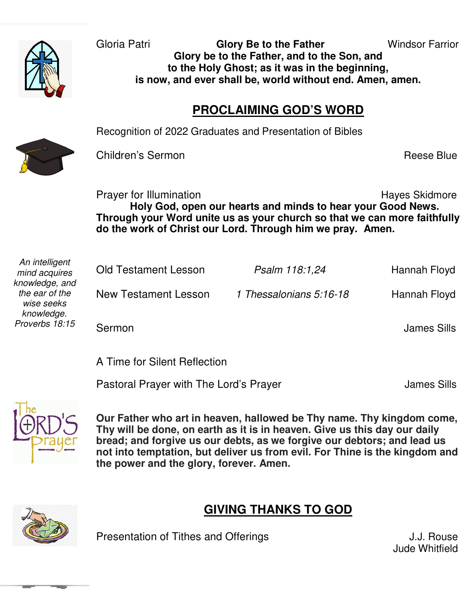

Gloria Patri **Glory Be to the Father** Windsor Farrior **Glory be to the Father, and to the Son, and to the Holy Ghost; as it was in the beginning, is now, and ever shall be, world without end. Amen, amen.** 

#### **PROCLAIMING GOD'S WORD**

Recognition of 2022 Graduates and Presentation of Bibles



Children's Sermon **Reese Blue** 

 **Holy God, open our hearts and minds to hear your Good News. Through your Word unite us as your church so that we can more faithfully**  Prayer for Illumination **Hayes** Skidmore **do the work of Christ our Lord. Through him we pray. Amen.** 

| An intelligent |
|----------------|
| mind acquires  |
| knowledge, and |
| the ear of the |
| wise seeks     |
| knowledge.     |
| Proverbs 18:15 |
|                |

| <b>Old Testament Lesson</b> | Psalm 118:1,24          | Hannah Floyd |
|-----------------------------|-------------------------|--------------|
| New Testament Lesson        | 1 Thessalonians 5:16-18 | Hannah Floyd |
| Sermon                      |                         | James Sills  |

A Time for Silent Reflection

Pastoral Prayer with The Lord's Prayer **Franchise Sills** James Sills



 **the power and the glory, forever. Amen. Our Father who art in heaven, hallowed be Thy name. Thy kingdom come, Thy will be done, on earth as it is in heaven. Give us this day our daily bread; and forgive us our debts, as we forgive our debtors; and lead us not into temptation, but deliver us from evil. For Thine is the kingdom and** 



#### **GIVING THANKS TO GOD**

Presentation of Tithes and Offerings The Manuscripture of Tithes and Offerings The Manuscripture of the U.J. Rouse

Jude Whitfield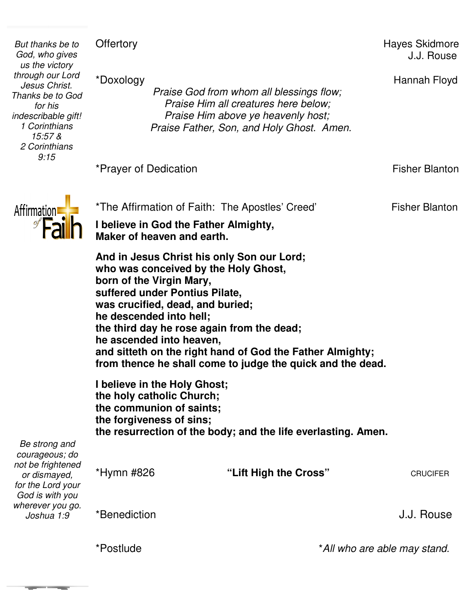**Offertory** *But thanks be to es*<br> *es*<br> *y*<br> *t.* \*Doxology<br> *Praise God from whom all blessings flow:* Hannah Floyd<br> *Praise God from whom all blessings flow:* Hannah Floyd Hayes Skidmore *God, who gives*  J.J. Rouse *us the victory through our Lord*  \*Doxology Hannah *Jesus Christ. Thanks be to God Praise God from whom all blessings flow;<br>Praise Him all creatures here below;<br>Praise Him above ye heavenly host;<br>Praise Father, Son, and Holy Ghost. Amen. Praise God from whom all blessings flow; Praise Him all creatures here below; for his Praise Him above ye heavenly host; indescribable gift! 1 Corinthians 15:57 & 2 Corinthians 9:15*  \*Prayer of Dedication **Fisher Blanton Prayer** of Dedication **Fisher Blanton** \*The Affirmation of Faith: The Apostles' Creed' Fisher Blanton Affirmation **I believe in God the Father Almighty, Maker of heaven and earth.** heaven and earth.<br> **and Soluty Son Son Conceived by the Holy Ghost,<br>
re Virgin Mary,<br>
under Pontius Pilate,<br>
ified, dead, and buried;<br>
nded into hell;<br>
day he rose again from the dead; And in Jesus Christ his only Son our Lord; who was conceived by the Holy Ghost, born of the Virgin Mary, suffered under Pontius Pilate, was crucified, dead, and buried; he descended into hell; the third day he rose again from the dead; he ascended into heaven, ascended into heaven,<br>
d sitteth on the right hand of God the Father Almighty;<br>
m thence he shall come to judge the quick and the dead.<br>
elieve in the Holy Ghost;<br>
holy catholic Church;<br>
communion of saints;<br>
forgiveness and sitteth on the right hand of God the Father Almighty; from thence he shall come to judge the quick and the dead. I believe in the Holy Ghost; the holy catholic Church; the communion of saints; the forgiveness of sins; the resurrection of the body;** *Be strong and courageous; do not be frightened*  "Lift High the Cross" \*Hymn #826 **CRUCIFER** *or dismayed, for the Lord your God is with you wherever you go.*  \*Benediction J.J. Rouse *Joshua 1:9* 

\**All who are able may stand.*

\*Postlude